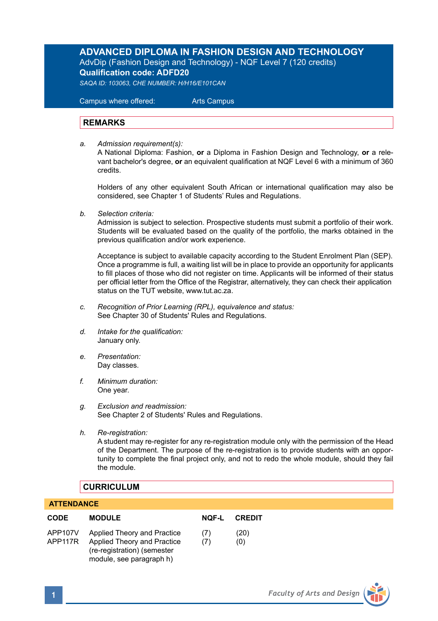# **ADVANCED DIPLOMA IN FASHION DESIGN AND TECHNOLOGY** AdvDip (Fashion Design and Technology) - NQF Level 7 (120 credits) **Qualification code: ADFD20**

*SAQA ID: 103063, CHE NUMBER: H/H16/E101CAN* 

 Campus where offered: Arts Campus

## **REMARKS**

*a. Admission requirement(s):* 

A National Diploma: Fashion, **or** a Diploma in Fashion Design and Technology, **or** a relevant bachelor's degree, **or** an equivalent qualification at NQF Level 6 with a minimum of 360 credits.

Holders of any other equivalent South African or international qualification may also be considered, see Chapter 1 of Students' Rules and Regulations.

*b. Selection criteria:*

Admission is subject to selection. Prospective students must submit a portfolio of their work. Students will be evaluated based on the quality of the portfolio, the marks obtained in the previous qualification and/or work experience.

 Acceptance is subject to available capacity according to the Student Enrolment Plan (SEP). Once a programme is full, a waiting list will be in place to provide an opportunity for applicants to fill places of those who did not register on time. Applicants will be informed of their status per official letter from the Office of the Registrar, alternatively, they can check their application status on the TUT website, www.tut.ac.za.

- *c. Recognition of Prior Learning (RPL), equivalence and status:* See Chapter 30 of Students' Rules and Regulations.
- *d. Intake for the qualification:* January only.
- *e. Presentation:* Day classes.
- *f. Minimum duration:* One year.
- *g. Exclusion and readmission:* See Chapter 2 of Students' Rules and Regulations.
- *h. Re-registration:*

A student may re-register for any re-registration module only with the permission of the Head of the Department. The purpose of the re-registration is to provide students with an opportunity to complete the final project only, and not to redo the whole module, should they fail the module.

## **CURRICULUM**

## **ATTENDANCE**

| <b>CODE</b>        | <b>MODULE</b>                                                                                                         | <b>NOF-L</b> | <b>CREDIT</b> |
|--------------------|-----------------------------------------------------------------------------------------------------------------------|--------------|---------------|
| APP107V<br>APP117R | Applied Theory and Practice<br>Applied Theory and Practice<br>(re-registration) (semester<br>module, see paragraph h) | (7)<br>(7)   | (20)<br>(0)   |